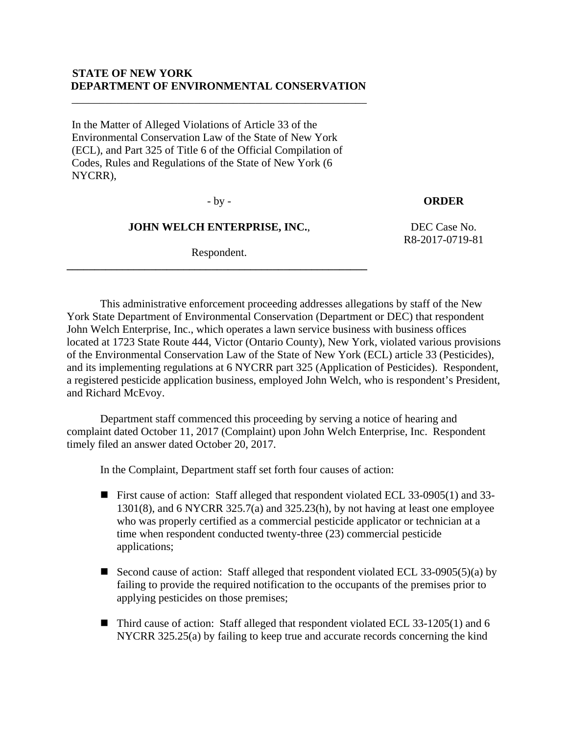## **STATE OF NEW YORK DEPARTMENT OF ENVIRONMENTAL CONSERVATION**

\_\_\_\_\_\_\_\_\_\_\_\_\_\_\_\_\_\_\_\_\_\_\_\_\_\_\_\_\_\_\_\_\_\_\_\_\_\_\_\_\_\_\_\_\_\_\_\_\_\_\_\_\_

In the Matter of Alleged Violations of Article 33 of the Environmental Conservation Law of the State of New York (ECL), and Part 325 of Title 6 of the Official Compilation of Codes, Rules and Regulations of the State of New York (6 NYCRR),

#### - by - **ORDER**

#### **JOHN WELCH ENTERPRISE, INC.**,

**\_\_\_\_\_\_\_\_\_\_\_\_\_\_\_\_\_\_\_\_\_\_\_\_\_\_\_\_\_\_\_\_\_\_\_\_\_\_\_\_\_\_\_\_\_\_\_\_\_\_\_\_\_\_** 

Respondent.

 DEC Case No. R8-2017-0719-81

 This administrative enforcement proceeding addresses allegations by staff of the New York State Department of Environmental Conservation (Department or DEC) that respondent John Welch Enterprise, Inc., which operates a lawn service business with business offices located at 1723 State Route 444, Victor (Ontario County), New York, violated various provisions of the Environmental Conservation Law of the State of New York (ECL) article 33 (Pesticides), and its implementing regulations at 6 NYCRR part 325 (Application of Pesticides). Respondent, a registered pesticide application business, employed John Welch, who is respondent's President, and Richard McEvoy.

 Department staff commenced this proceeding by serving a notice of hearing and complaint dated October 11, 2017 (Complaint) upon John Welch Enterprise, Inc. Respondent timely filed an answer dated October 20, 2017.

In the Complaint, Department staff set forth four causes of action:

- First cause of action: Staff alleged that respondent violated ECL 33-0905(1) and 33- 1301(8), and 6 NYCRR 325.7(a) and 325.23(h), by not having at least one employee who was properly certified as a commercial pesticide applicator or technician at a time when respondent conducted twenty-three (23) commercial pesticide applications;
- Second cause of action: Staff alleged that respondent violated ECL 33-0905(5)(a) by failing to provide the required notification to the occupants of the premises prior to applying pesticides on those premises;
- Third cause of action: Staff alleged that respondent violated ECL 33-1205(1) and 6 NYCRR 325.25(a) by failing to keep true and accurate records concerning the kind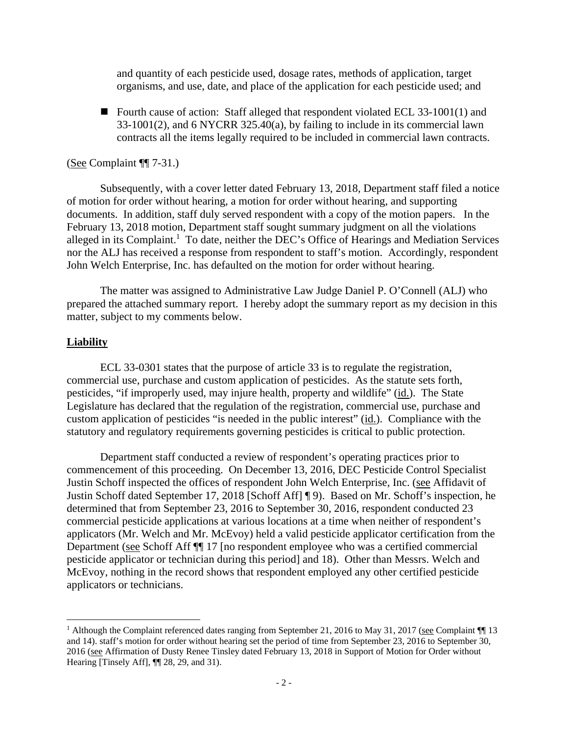and quantity of each pesticide used, dosage rates, methods of application, target organisms, and use, date, and place of the application for each pesticide used; and

■ Fourth cause of action: Staff alleged that respondent violated ECL 33-1001(1) and 33-1001(2), and 6 NYCRR 325.40(a), by failing to include in its commercial lawn contracts all the items legally required to be included in commercial lawn contracts.

## (See Complaint ¶¶ 7-31.)

 Subsequently, with a cover letter dated February 13, 2018, Department staff filed a notice of motion for order without hearing, a motion for order without hearing, and supporting documents. In addition, staff duly served respondent with a copy of the motion papers. In the February 13, 2018 motion, Department staff sought summary judgment on all the violations alleged in its Complaint.<sup>1</sup> To date, neither the DEC's Office of Hearings and Mediation Services nor the ALJ has received a response from respondent to staff's motion. Accordingly, respondent John Welch Enterprise, Inc. has defaulted on the motion for order without hearing.

 The matter was assigned to Administrative Law Judge Daniel P. O'Connell (ALJ) who prepared the attached summary report. I hereby adopt the summary report as my decision in this matter, subject to my comments below.

## **Liability**

ECL 33-0301 states that the purpose of article 33 is to regulate the registration, commercial use, purchase and custom application of pesticides. As the statute sets forth, pesticides, "if improperly used, may injure health, property and wildlife" (id.). The State Legislature has declared that the regulation of the registration, commercial use, purchase and custom application of pesticides "is needed in the public interest" (id.). Compliance with the statutory and regulatory requirements governing pesticides is critical to public protection.

Department staff conducted a review of respondent's operating practices prior to commencement of this proceeding. On December 13, 2016, DEC Pesticide Control Specialist Justin Schoff inspected the offices of respondent John Welch Enterprise, Inc. (see Affidavit of Justin Schoff dated September 17, 2018 [Schoff Aff] ¶ 9). Based on Mr. Schoff's inspection, he determined that from September 23, 2016 to September 30, 2016, respondent conducted 23 commercial pesticide applications at various locations at a time when neither of respondent's applicators (Mr. Welch and Mr. McEvoy) held a valid pesticide applicator certification from the Department (see Schoff Aff ¶¶ 17 [no respondent employee who was a certified commercial pesticide applicator or technician during this period] and 18). Other than Messrs. Welch and McEvoy, nothing in the record shows that respondent employed any other certified pesticide applicators or technicians.

<sup>&</sup>lt;sup>1</sup> Although the Complaint referenced dates ranging from September 21, 2016 to May 31, 2017 (see Complaint  $\P$  13 and 14). staff's motion for order without hearing set the period of time from September 23, 2016 to September 30, 2016 (see Affirmation of Dusty Renee Tinsley dated February 13, 2018 in Support of Motion for Order without Hearing [Tinsely Aff],  $\P$ [28, 29, and 31).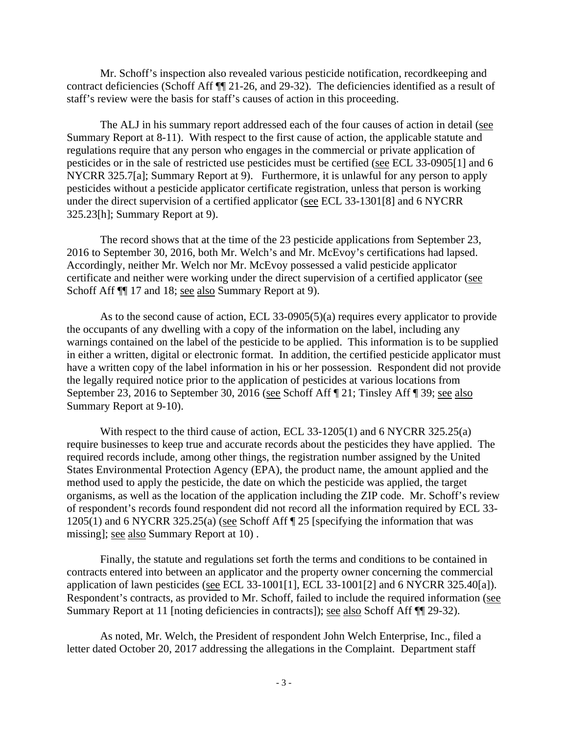Mr. Schoff's inspection also revealed various pesticide notification, recordkeeping and contract deficiencies (Schoff Aff ¶¶ 21-26, and 29-32). The deficiencies identified as a result of staff's review were the basis for staff's causes of action in this proceeding.

The ALJ in his summary report addressed each of the four causes of action in detail (see Summary Report at 8-11). With respect to the first cause of action, the applicable statute and regulations require that any person who engages in the commercial or private application of pesticides or in the sale of restricted use pesticides must be certified (see ECL 33-0905[1] and 6 NYCRR 325.7[a]; Summary Report at 9). Furthermore, it is unlawful for any person to apply pesticides without a pesticide applicator certificate registration, unless that person is working under the direct supervision of a certified applicator (see ECL 33-1301[8] and 6 NYCRR 325.23[h]; Summary Report at 9).

The record shows that at the time of the 23 pesticide applications from September 23, 2016 to September 30, 2016, both Mr. Welch's and Mr. McEvoy's certifications had lapsed. Accordingly, neither Mr. Welch nor Mr. McEvoy possessed a valid pesticide applicator certificate and neither were working under the direct supervision of a certified applicator (see Schoff Aff  $\P$  17 and 18; see also Summary Report at 9).

As to the second cause of action, ECL 33-0905(5)(a) requires every applicator to provide the occupants of any dwelling with a copy of the information on the label, including any warnings contained on the label of the pesticide to be applied. This information is to be supplied in either a written, digital or electronic format. In addition, the certified pesticide applicator must have a written copy of the label information in his or her possession. Respondent did not provide the legally required notice prior to the application of pesticides at various locations from September 23, 2016 to September 30, 2016 (see Schoff Aff ¶ 21; Tinsley Aff ¶ 39; see also Summary Report at 9-10).

With respect to the third cause of action, ECL 33-1205(1) and 6 NYCRR 325.25(a) require businesses to keep true and accurate records about the pesticides they have applied. The required records include, among other things, the registration number assigned by the United States Environmental Protection Agency (EPA), the product name, the amount applied and the method used to apply the pesticide, the date on which the pesticide was applied, the target organisms, as well as the location of the application including the ZIP code. Mr. Schoff's review of respondent's records found respondent did not record all the information required by ECL 33- 1205(1) and 6 NYCRR 325.25(a) (see Schoff Aff ¶ 25 [specifying the information that was missing]; see also Summary Report at 10) .

 Finally, the statute and regulations set forth the terms and conditions to be contained in contracts entered into between an applicator and the property owner concerning the commercial application of lawn pesticides (see ECL 33-1001[1], ECL 33-1001[2] and 6 NYCRR 325.40[a]). Respondent's contracts, as provided to Mr. Schoff, failed to include the required information (see Summary Report at 11 [noting deficiencies in contracts]); <u>see also</u> Schoff Aff  $\P$ [29-32).

As noted, Mr. Welch, the President of respondent John Welch Enterprise, Inc., filed a letter dated October 20, 2017 addressing the allegations in the Complaint. Department staff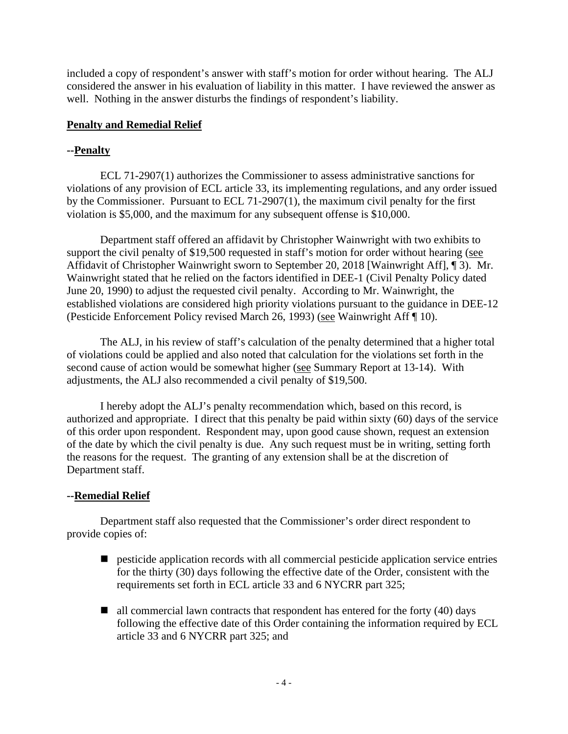included a copy of respondent's answer with staff's motion for order without hearing. The ALJ considered the answer in his evaluation of liability in this matter. I have reviewed the answer as well. Nothing in the answer disturbs the findings of respondent's liability.

# **Penalty and Remedial Relief**

# **--Penalty**

 ECL 71-2907(1) authorizes the Commissioner to assess administrative sanctions for violations of any provision of ECL article 33, its implementing regulations, and any order issued by the Commissioner. Pursuant to ECL 71-2907(1), the maximum civil penalty for the first violation is \$5,000, and the maximum for any subsequent offense is \$10,000.

 Department staff offered an affidavit by Christopher Wainwright with two exhibits to support the civil penalty of \$19,500 requested in staff's motion for order without hearing (see Affidavit of Christopher Wainwright sworn to September 20, 2018 [Wainwright Aff], ¶ 3). Mr. Wainwright stated that he relied on the factors identified in DEE-1 (Civil Penalty Policy dated June 20, 1990) to adjust the requested civil penalty. According to Mr. Wainwright, the established violations are considered high priority violations pursuant to the guidance in DEE-12 (Pesticide Enforcement Policy revised March 26, 1993) (see Wainwright Aff ¶ 10).

The ALJ, in his review of staff's calculation of the penalty determined that a higher total of violations could be applied and also noted that calculation for the violations set forth in the second cause of action would be somewhat higher (see Summary Report at 13-14). With adjustments, the ALJ also recommended a civil penalty of \$19,500.

I hereby adopt the ALJ's penalty recommendation which, based on this record, is authorized and appropriate. I direct that this penalty be paid within sixty (60) days of the service of this order upon respondent. Respondent may, upon good cause shown, request an extension of the date by which the civil penalty is due. Any such request must be in writing, setting forth the reasons for the request. The granting of any extension shall be at the discretion of Department staff.

# **--Remedial Relief**

Department staff also requested that the Commissioner's order direct respondent to provide copies of:

- **P** pesticide application records with all commercial pesticide application service entries for the thirty (30) days following the effective date of the Order, consistent with the requirements set forth in ECL article 33 and 6 NYCRR part 325;
- $\blacksquare$  all commercial lawn contracts that respondent has entered for the forty (40) days following the effective date of this Order containing the information required by ECL article 33 and 6 NYCRR part 325; and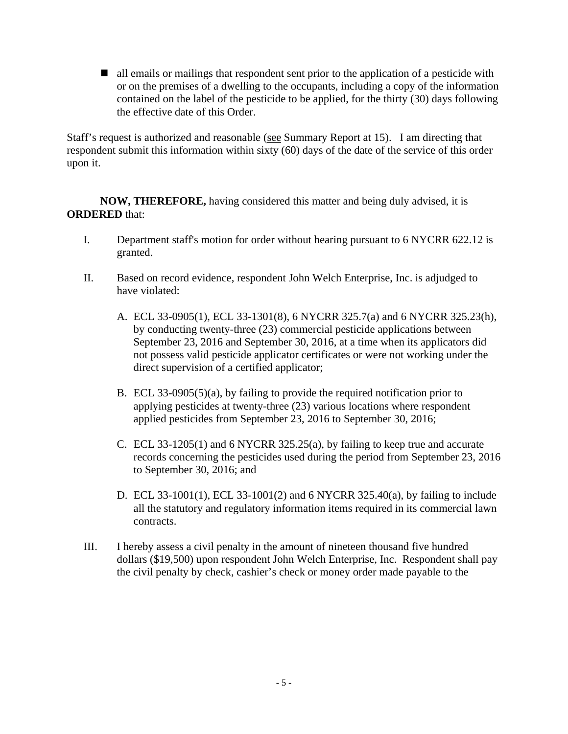all emails or mailings that respondent sent prior to the application of a pesticide with or on the premises of a dwelling to the occupants, including a copy of the information contained on the label of the pesticide to be applied, for the thirty (30) days following the effective date of this Order.

Staff's request is authorized and reasonable (see Summary Report at 15). I am directing that respondent submit this information within sixty (60) days of the date of the service of this order upon it.

**NOW, THEREFORE,** having considered this matter and being duly advised, it is **ORDERED** that:

- I. Department staff's motion for order without hearing pursuant to 6 NYCRR 622.12 is granted.
- II. Based on record evidence, respondent John Welch Enterprise, Inc. is adjudged to have violated:
	- A. ECL 33-0905(1), ECL 33-1301(8), 6 NYCRR 325.7(a) and 6 NYCRR 325.23(h), by conducting twenty-three (23) commercial pesticide applications between September 23, 2016 and September 30, 2016, at a time when its applicators did not possess valid pesticide applicator certificates or were not working under the direct supervision of a certified applicator;
	- B. ECL 33-0905(5)(a), by failing to provide the required notification prior to applying pesticides at twenty-three (23) various locations where respondent applied pesticides from September 23, 2016 to September 30, 2016;
	- C. ECL 33-1205(1) and 6 NYCRR 325.25(a), by failing to keep true and accurate records concerning the pesticides used during the period from September 23, 2016 to September 30, 2016; and
	- D. ECL 33-1001(1), ECL 33-1001(2) and 6 NYCRR 325.40(a), by failing to include all the statutory and regulatory information items required in its commercial lawn contracts.
- III. I hereby assess a civil penalty in the amount of nineteen thousand five hundred dollars (\$19,500) upon respondent John Welch Enterprise, Inc. Respondent shall pay the civil penalty by check, cashier's check or money order made payable to the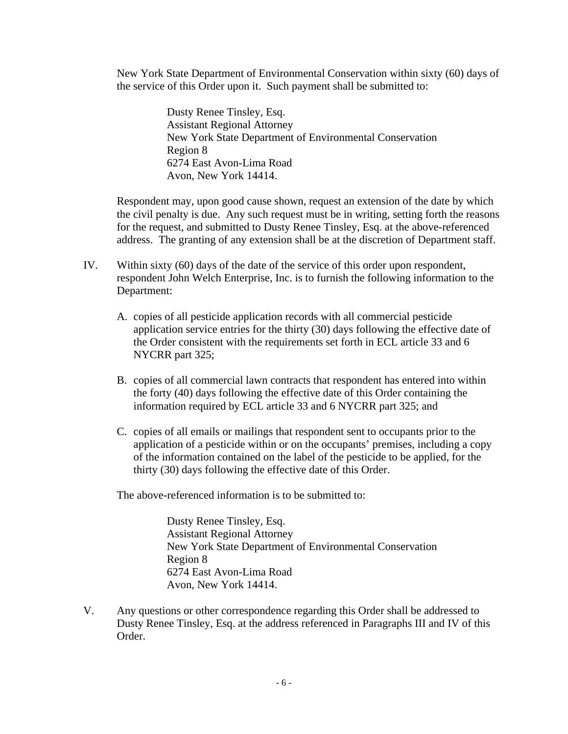New York State Department of Environmental Conservation within sixty (60) days of the service of this Order upon it. Such payment shall be submitted to:

> Dusty Renee Tinsley, Esq. Assistant Regional Attorney New York State Department of Environmental Conservation Region 8 6274 East Avon-Lima Road Avon, New York 14414.

Respondent may, upon good cause shown, request an extension of the date by which the civil penalty is due. Any such request must be in writing, setting forth the reasons for the request, and submitted to Dusty Renee Tinsley, Esq. at the above-referenced address. The granting of any extension shall be at the discretion of Department staff.

- IV. Within sixty (60) days of the date of the service of this order upon respondent, respondent John Welch Enterprise, Inc. is to furnish the following information to the Department:
	- A. copies of all pesticide application records with all commercial pesticide application service entries for the thirty (30) days following the effective date of the Order consistent with the requirements set forth in ECL article 33 and 6 NYCRR part 325;
	- B. copies of all commercial lawn contracts that respondent has entered into within the forty (40) days following the effective date of this Order containing the information required by ECL article 33 and 6 NYCRR part 325; and
	- C. copies of all emails or mailings that respondent sent to occupants prior to the application of a pesticide within or on the occupants' premises, including a copy of the information contained on the label of the pesticide to be applied, for the thirty (30) days following the effective date of this Order.

The above-referenced information is to be submitted to:

Dusty Renee Tinsley, Esq. Assistant Regional Attorney New York State Department of Environmental Conservation Region 8 6274 East Avon-Lima Road Avon, New York 14414.

V. Any questions or other correspondence regarding this Order shall be addressed to Dusty Renee Tinsley, Esq. at the address referenced in Paragraphs III and IV of this Order.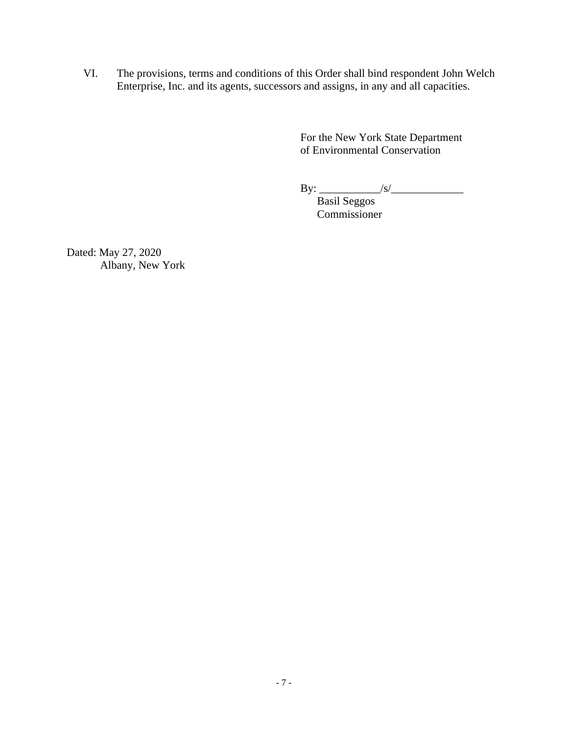VI. The provisions, terms and conditions of this Order shall bind respondent John Welch Enterprise, Inc. and its agents, successors and assigns, in any and all capacities.

> For the New York State Department of Environmental Conservation

> $\text{By:}\_ \text{1/8/}\_$

 Basil Seggos Commissioner

Dated: May 27, 2020 Albany, New York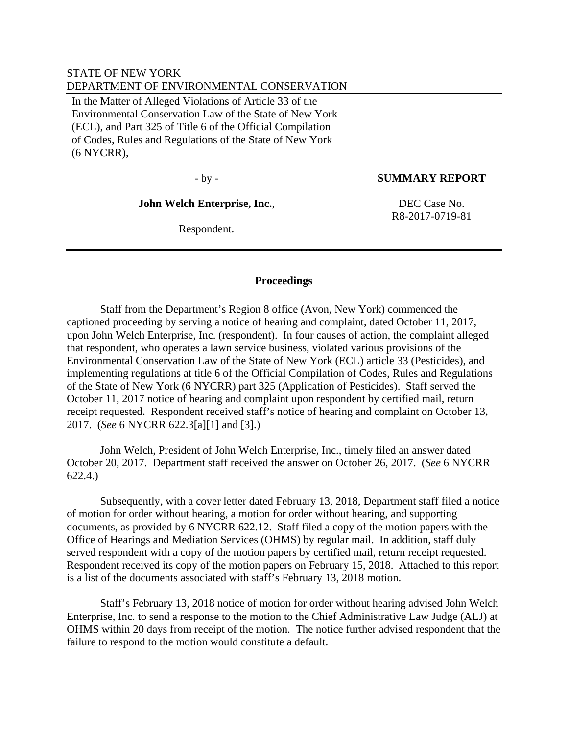## STATE OF NEW YORK DEPARTMENT OF ENVIRONMENTAL CONSERVATION

In the Matter of Alleged Violations of Article 33 of the Environmental Conservation Law of the State of New York (ECL), and Part 325 of Title 6 of the Official Compilation of Codes, Rules and Regulations of the State of New York (6 NYCRR),

## - by - **SUMMARY REPORT**

#### **John Welch Enterprise, Inc.**,

 DEC Case No. R8-2017-0719-81

Respondent.

## **Proceedings**

 Staff from the Department's Region 8 office (Avon, New York) commenced the captioned proceeding by serving a notice of hearing and complaint, dated October 11, 2017, upon John Welch Enterprise, Inc. (respondent). In four causes of action, the complaint alleged that respondent, who operates a lawn service business, violated various provisions of the Environmental Conservation Law of the State of New York (ECL) article 33 (Pesticides), and implementing regulations at title 6 of the Official Compilation of Codes, Rules and Regulations of the State of New York (6 NYCRR) part 325 (Application of Pesticides). Staff served the October 11, 2017 notice of hearing and complaint upon respondent by certified mail, return receipt requested. Respondent received staff's notice of hearing and complaint on October 13, 2017. (*See* 6 NYCRR 622.3[a][1] and [3].)

 John Welch, President of John Welch Enterprise, Inc., timely filed an answer dated October 20, 2017. Department staff received the answer on October 26, 2017. (*See* 6 NYCRR 622.4.)

 Subsequently, with a cover letter dated February 13, 2018, Department staff filed a notice of motion for order without hearing, a motion for order without hearing, and supporting documents, as provided by 6 NYCRR 622.12. Staff filed a copy of the motion papers with the Office of Hearings and Mediation Services (OHMS) by regular mail. In addition, staff duly served respondent with a copy of the motion papers by certified mail, return receipt requested. Respondent received its copy of the motion papers on February 15, 2018. Attached to this report is a list of the documents associated with staff's February 13, 2018 motion.

 Staff's February 13, 2018 notice of motion for order without hearing advised John Welch Enterprise, Inc. to send a response to the motion to the Chief Administrative Law Judge (ALJ) at OHMS within 20 days from receipt of the motion. The notice further advised respondent that the failure to respond to the motion would constitute a default.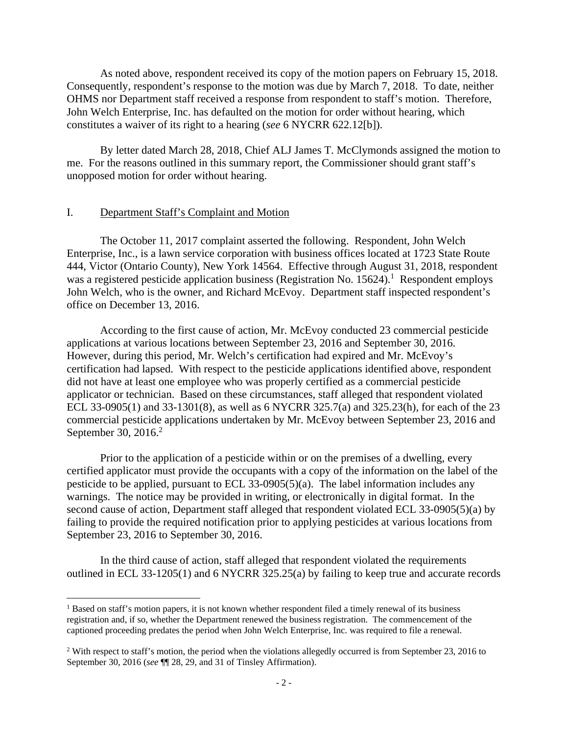As noted above, respondent received its copy of the motion papers on February 15, 2018. Consequently, respondent's response to the motion was due by March 7, 2018. To date, neither OHMS nor Department staff received a response from respondent to staff's motion. Therefore, John Welch Enterprise, Inc. has defaulted on the motion for order without hearing, which constitutes a waiver of its right to a hearing (*see* 6 NYCRR 622.12[b]).

 By letter dated March 28, 2018, Chief ALJ James T. McClymonds assigned the motion to me. For the reasons outlined in this summary report, the Commissioner should grant staff's unopposed motion for order without hearing.

#### I. Department Staff's Complaint and Motion

 The October 11, 2017 complaint asserted the following. Respondent, John Welch Enterprise, Inc., is a lawn service corporation with business offices located at 1723 State Route 444, Victor (Ontario County), New York 14564. Effective through August 31, 2018, respondent was a registered pesticide application business (Registration No.  $15624$ ).<sup>1</sup> Respondent employs John Welch, who is the owner, and Richard McEvoy. Department staff inspected respondent's office on December 13, 2016.

 According to the first cause of action, Mr. McEvoy conducted 23 commercial pesticide applications at various locations between September 23, 2016 and September 30, 2016. However, during this period, Mr. Welch's certification had expired and Mr. McEvoy's certification had lapsed. With respect to the pesticide applications identified above, respondent did not have at least one employee who was properly certified as a commercial pesticide applicator or technician. Based on these circumstances, staff alleged that respondent violated ECL 33-0905(1) and 33-1301(8), as well as 6 NYCRR 325.7(a) and 325.23(h), for each of the 23 commercial pesticide applications undertaken by Mr. McEvoy between September 23, 2016 and September 30, 2016. $2$ 

 Prior to the application of a pesticide within or on the premises of a dwelling, every certified applicator must provide the occupants with a copy of the information on the label of the pesticide to be applied, pursuant to ECL 33-0905(5)(a). The label information includes any warnings. The notice may be provided in writing, or electronically in digital format. In the second cause of action, Department staff alleged that respondent violated ECL 33-0905(5)(a) by failing to provide the required notification prior to applying pesticides at various locations from September 23, 2016 to September 30, 2016.

 In the third cause of action, staff alleged that respondent violated the requirements outlined in ECL 33-1205(1) and 6 NYCRR 325.25(a) by failing to keep true and accurate records

<sup>&</sup>lt;sup>1</sup> Based on staff's motion papers, it is not known whether respondent filed a timely renewal of its business registration and, if so, whether the Department renewed the business registration. The commencement of the captioned proceeding predates the period when John Welch Enterprise, Inc. was required to file a renewal.

<sup>&</sup>lt;sup>2</sup> With respect to staff's motion, the period when the violations allegedly occurred is from September 23, 2016 to September 30, 2016 (*see* ¶¶ 28, 29, and 31 of Tinsley Affirmation).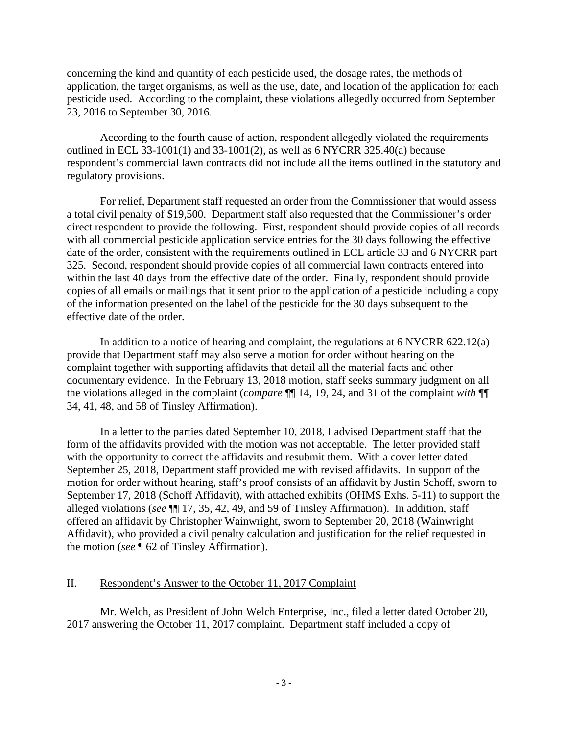concerning the kind and quantity of each pesticide used, the dosage rates, the methods of application, the target organisms, as well as the use, date, and location of the application for each pesticide used. According to the complaint, these violations allegedly occurred from September 23, 2016 to September 30, 2016.

 According to the fourth cause of action, respondent allegedly violated the requirements outlined in ECL 33-1001(1) and 33-1001(2), as well as 6 NYCRR 325.40(a) because respondent's commercial lawn contracts did not include all the items outlined in the statutory and regulatory provisions.

 For relief, Department staff requested an order from the Commissioner that would assess a total civil penalty of \$19,500. Department staff also requested that the Commissioner's order direct respondent to provide the following. First, respondent should provide copies of all records with all commercial pesticide application service entries for the 30 days following the effective date of the order, consistent with the requirements outlined in ECL article 33 and 6 NYCRR part 325. Second, respondent should provide copies of all commercial lawn contracts entered into within the last 40 days from the effective date of the order. Finally, respondent should provide copies of all emails or mailings that it sent prior to the application of a pesticide including a copy of the information presented on the label of the pesticide for the 30 days subsequent to the effective date of the order.

 In addition to a notice of hearing and complaint, the regulations at 6 NYCRR 622.12(a) provide that Department staff may also serve a motion for order without hearing on the complaint together with supporting affidavits that detail all the material facts and other documentary evidence. In the February 13, 2018 motion, staff seeks summary judgment on all the violations alleged in the complaint (*compare* ¶¶ 14, 19, 24, and 31 of the complaint *with* ¶¶ 34, 41, 48, and 58 of Tinsley Affirmation).

 In a letter to the parties dated September 10, 2018, I advised Department staff that the form of the affidavits provided with the motion was not acceptable. The letter provided staff with the opportunity to correct the affidavits and resubmit them. With a cover letter dated September 25, 2018, Department staff provided me with revised affidavits. In support of the motion for order without hearing, staff's proof consists of an affidavit by Justin Schoff, sworn to September 17, 2018 (Schoff Affidavit), with attached exhibits (OHMS Exhs. 5-11) to support the alleged violations (*see* ¶¶ 17, 35, 42, 49, and 59 of Tinsley Affirmation). In addition, staff offered an affidavit by Christopher Wainwright, sworn to September 20, 2018 (Wainwright Affidavit), who provided a civil penalty calculation and justification for the relief requested in the motion (*see* ¶ 62 of Tinsley Affirmation).

# II. Respondent's Answer to the October 11, 2017 Complaint

 Mr. Welch, as President of John Welch Enterprise, Inc., filed a letter dated October 20, 2017 answering the October 11, 2017 complaint. Department staff included a copy of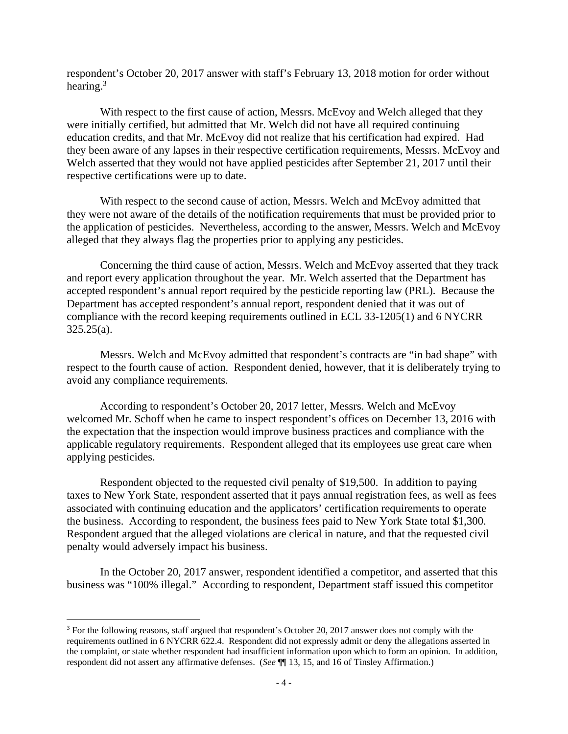respondent's October 20, 2017 answer with staff's February 13, 2018 motion for order without hearing. $3$ 

 With respect to the first cause of action, Messrs. McEvoy and Welch alleged that they were initially certified, but admitted that Mr. Welch did not have all required continuing education credits, and that Mr. McEvoy did not realize that his certification had expired. Had they been aware of any lapses in their respective certification requirements, Messrs. McEvoy and Welch asserted that they would not have applied pesticides after September 21, 2017 until their respective certifications were up to date.

With respect to the second cause of action, Messrs. Welch and McEvoy admitted that they were not aware of the details of the notification requirements that must be provided prior to the application of pesticides. Nevertheless, according to the answer, Messrs. Welch and McEvoy alleged that they always flag the properties prior to applying any pesticides.

 Concerning the third cause of action, Messrs. Welch and McEvoy asserted that they track and report every application throughout the year. Mr. Welch asserted that the Department has accepted respondent's annual report required by the pesticide reporting law (PRL). Because the Department has accepted respondent's annual report, respondent denied that it was out of compliance with the record keeping requirements outlined in ECL 33-1205(1) and 6 NYCRR  $325.25(a)$ .

 Messrs. Welch and McEvoy admitted that respondent's contracts are "in bad shape" with respect to the fourth cause of action. Respondent denied, however, that it is deliberately trying to avoid any compliance requirements.

 According to respondent's October 20, 2017 letter, Messrs. Welch and McEvoy welcomed Mr. Schoff when he came to inspect respondent's offices on December 13, 2016 with the expectation that the inspection would improve business practices and compliance with the applicable regulatory requirements. Respondent alleged that its employees use great care when applying pesticides.

 Respondent objected to the requested civil penalty of \$19,500. In addition to paying taxes to New York State, respondent asserted that it pays annual registration fees, as well as fees associated with continuing education and the applicators' certification requirements to operate the business. According to respondent, the business fees paid to New York State total \$1,300. Respondent argued that the alleged violations are clerical in nature, and that the requested civil penalty would adversely impact his business.

 In the October 20, 2017 answer, respondent identified a competitor, and asserted that this business was "100% illegal." According to respondent, Department staff issued this competitor

<sup>&</sup>lt;sup>3</sup> For the following reasons, staff argued that respondent's October 20, 2017 answer does not comply with the requirements outlined in 6 NYCRR 622.4. Respondent did not expressly admit or deny the allegations asserted in the complaint, or state whether respondent had insufficient information upon which to form an opinion. In addition, respondent did not assert any affirmative defenses. (*See* ¶¶ 13, 15, and 16 of Tinsley Affirmation.)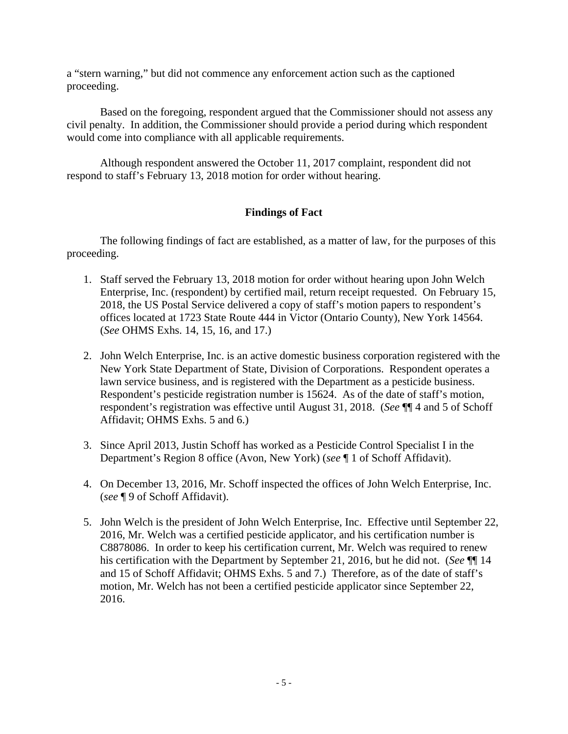a "stern warning," but did not commence any enforcement action such as the captioned proceeding.

 Based on the foregoing, respondent argued that the Commissioner should not assess any civil penalty. In addition, the Commissioner should provide a period during which respondent would come into compliance with all applicable requirements.

 Although respondent answered the October 11, 2017 complaint, respondent did not respond to staff's February 13, 2018 motion for order without hearing.

# **Findings of Fact**

 The following findings of fact are established, as a matter of law, for the purposes of this proceeding.

- 1. Staff served the February 13, 2018 motion for order without hearing upon John Welch Enterprise, Inc. (respondent) by certified mail, return receipt requested. On February 15, 2018, the US Postal Service delivered a copy of staff's motion papers to respondent's offices located at 1723 State Route 444 in Victor (Ontario County), New York 14564. (*See* OHMS Exhs. 14, 15, 16, and 17.)
- 2. John Welch Enterprise, Inc. is an active domestic business corporation registered with the New York State Department of State, Division of Corporations. Respondent operates a lawn service business, and is registered with the Department as a pesticide business. Respondent's pesticide registration number is 15624. As of the date of staff's motion, respondent's registration was effective until August 31, 2018. (*See* ¶¶ 4 and 5 of Schoff Affidavit; OHMS Exhs. 5 and 6.)
- 3. Since April 2013, Justin Schoff has worked as a Pesticide Control Specialist I in the Department's Region 8 office (Avon, New York) (*see* ¶ 1 of Schoff Affidavit).
- 4. On December 13, 2016, Mr. Schoff inspected the offices of John Welch Enterprise, Inc. (*see* ¶ 9 of Schoff Affidavit).
- 5. John Welch is the president of John Welch Enterprise, Inc. Effective until September 22, 2016, Mr. Welch was a certified pesticide applicator, and his certification number is C8878086. In order to keep his certification current, Mr. Welch was required to renew his certification with the Department by September 21, 2016, but he did not. (*See* ¶¶ 14 and 15 of Schoff Affidavit; OHMS Exhs. 5 and 7.) Therefore, as of the date of staff's motion, Mr. Welch has not been a certified pesticide applicator since September 22, 2016.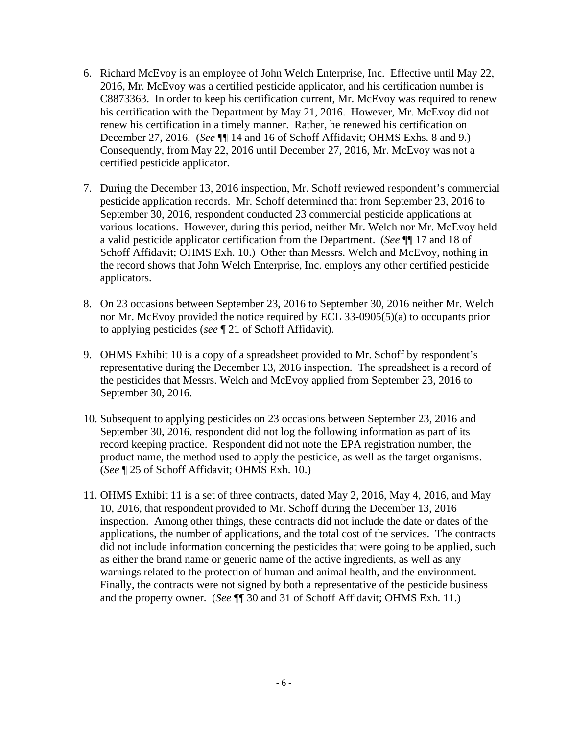- 6. Richard McEvoy is an employee of John Welch Enterprise, Inc. Effective until May 22, 2016, Mr. McEvoy was a certified pesticide applicator, and his certification number is C8873363. In order to keep his certification current, Mr. McEvoy was required to renew his certification with the Department by May 21, 2016. However, Mr. McEvoy did not renew his certification in a timely manner. Rather, he renewed his certification on December 27, 2016. (*See* ¶¶ 14 and 16 of Schoff Affidavit; OHMS Exhs. 8 and 9.) Consequently, from May 22, 2016 until December 27, 2016, Mr. McEvoy was not a certified pesticide applicator.
- 7. During the December 13, 2016 inspection, Mr. Schoff reviewed respondent's commercial pesticide application records. Mr. Schoff determined that from September 23, 2016 to September 30, 2016, respondent conducted 23 commercial pesticide applications at various locations. However, during this period, neither Mr. Welch nor Mr. McEvoy held a valid pesticide applicator certification from the Department. (*See* ¶¶ 17 and 18 of Schoff Affidavit; OHMS Exh. 10.) Other than Messrs. Welch and McEvoy, nothing in the record shows that John Welch Enterprise, Inc. employs any other certified pesticide applicators.
- 8. On 23 occasions between September 23, 2016 to September 30, 2016 neither Mr. Welch nor Mr. McEvoy provided the notice required by ECL 33-0905(5)(a) to occupants prior to applying pesticides (*see* ¶ 21 of Schoff Affidavit).
- 9. OHMS Exhibit 10 is a copy of a spreadsheet provided to Mr. Schoff by respondent's representative during the December 13, 2016 inspection. The spreadsheet is a record of the pesticides that Messrs. Welch and McEvoy applied from September 23, 2016 to September 30, 2016.
- 10. Subsequent to applying pesticides on 23 occasions between September 23, 2016 and September 30, 2016, respondent did not log the following information as part of its record keeping practice. Respondent did not note the EPA registration number, the product name, the method used to apply the pesticide, as well as the target organisms. (*See* ¶ 25 of Schoff Affidavit; OHMS Exh. 10.)
- 11. OHMS Exhibit 11 is a set of three contracts, dated May 2, 2016, May 4, 2016, and May 10, 2016, that respondent provided to Mr. Schoff during the December 13, 2016 inspection. Among other things, these contracts did not include the date or dates of the applications, the number of applications, and the total cost of the services. The contracts did not include information concerning the pesticides that were going to be applied, such as either the brand name or generic name of the active ingredients, as well as any warnings related to the protection of human and animal health, and the environment. Finally, the contracts were not signed by both a representative of the pesticide business and the property owner. (*See* ¶¶ 30 and 31 of Schoff Affidavit; OHMS Exh. 11.)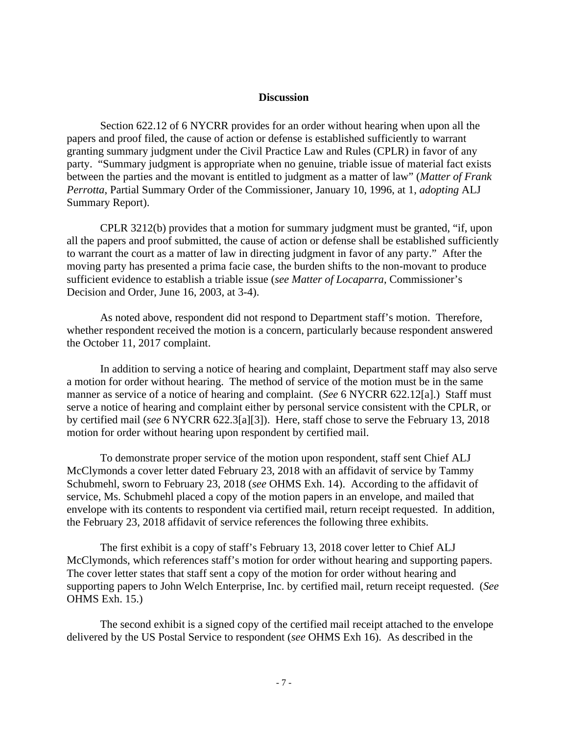#### **Discussion**

 Section 622.12 of 6 NYCRR provides for an order without hearing when upon all the papers and proof filed, the cause of action or defense is established sufficiently to warrant granting summary judgment under the Civil Practice Law and Rules (CPLR) in favor of any party. "Summary judgment is appropriate when no genuine, triable issue of material fact exists between the parties and the movant is entitled to judgment as a matter of law" (*Matter of Frank Perrotta*, Partial Summary Order of the Commissioner, January 10, 1996, at 1, *adopting* ALJ Summary Report).

 CPLR 3212(b) provides that a motion for summary judgment must be granted, "if, upon all the papers and proof submitted, the cause of action or defense shall be established sufficiently to warrant the court as a matter of law in directing judgment in favor of any party." After the moving party has presented a prima facie case, the burden shifts to the non-movant to produce sufficient evidence to establish a triable issue (*see Matter of Locaparra*, Commissioner's Decision and Order, June 16, 2003, at 3-4).

 As noted above, respondent did not respond to Department staff's motion. Therefore, whether respondent received the motion is a concern, particularly because respondent answered the October 11, 2017 complaint.

 In addition to serving a notice of hearing and complaint, Department staff may also serve a motion for order without hearing. The method of service of the motion must be in the same manner as service of a notice of hearing and complaint. (*See* 6 NYCRR 622.12[a].) Staff must serve a notice of hearing and complaint either by personal service consistent with the CPLR, or by certified mail (*see* 6 NYCRR 622.3[a][3]). Here, staff chose to serve the February 13, 2018 motion for order without hearing upon respondent by certified mail.

 To demonstrate proper service of the motion upon respondent, staff sent Chief ALJ McClymonds a cover letter dated February 23, 2018 with an affidavit of service by Tammy Schubmehl, sworn to February 23, 2018 (*see* OHMS Exh. 14). According to the affidavit of service, Ms. Schubmehl placed a copy of the motion papers in an envelope, and mailed that envelope with its contents to respondent via certified mail, return receipt requested. In addition, the February 23, 2018 affidavit of service references the following three exhibits.

 The first exhibit is a copy of staff's February 13, 2018 cover letter to Chief ALJ McClymonds, which references staff's motion for order without hearing and supporting papers. The cover letter states that staff sent a copy of the motion for order without hearing and supporting papers to John Welch Enterprise, Inc. by certified mail, return receipt requested. (*See* OHMS Exh. 15.)

 The second exhibit is a signed copy of the certified mail receipt attached to the envelope delivered by the US Postal Service to respondent (*see* OHMS Exh 16). As described in the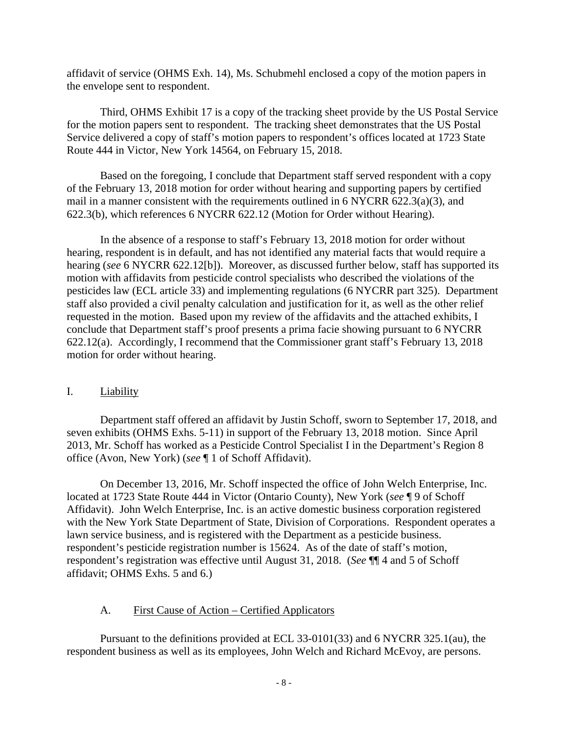affidavit of service (OHMS Exh. 14), Ms. Schubmehl enclosed a copy of the motion papers in the envelope sent to respondent.

 Third, OHMS Exhibit 17 is a copy of the tracking sheet provide by the US Postal Service for the motion papers sent to respondent. The tracking sheet demonstrates that the US Postal Service delivered a copy of staff's motion papers to respondent's offices located at 1723 State Route 444 in Victor, New York 14564, on February 15, 2018.

 Based on the foregoing, I conclude that Department staff served respondent with a copy of the February 13, 2018 motion for order without hearing and supporting papers by certified mail in a manner consistent with the requirements outlined in 6 NYCRR 622.3(a)(3), and 622.3(b), which references 6 NYCRR 622.12 (Motion for Order without Hearing).

 In the absence of a response to staff's February 13, 2018 motion for order without hearing, respondent is in default, and has not identified any material facts that would require a hearing (*see* 6 NYCRR 622.12[b]). Moreover, as discussed further below, staff has supported its motion with affidavits from pesticide control specialists who described the violations of the pesticides law (ECL article 33) and implementing regulations (6 NYCRR part 325). Department staff also provided a civil penalty calculation and justification for it, as well as the other relief requested in the motion. Based upon my review of the affidavits and the attached exhibits, I conclude that Department staff's proof presents a prima facie showing pursuant to 6 NYCRR 622.12(a). Accordingly, I recommend that the Commissioner grant staff's February 13, 2018 motion for order without hearing.

## I. Liability

 Department staff offered an affidavit by Justin Schoff, sworn to September 17, 2018, and seven exhibits (OHMS Exhs. 5-11) in support of the February 13, 2018 motion. Since April 2013, Mr. Schoff has worked as a Pesticide Control Specialist I in the Department's Region 8 office (Avon, New York) (*see* ¶ 1 of Schoff Affidavit).

 On December 13, 2016, Mr. Schoff inspected the office of John Welch Enterprise, Inc. located at 1723 State Route 444 in Victor (Ontario County), New York (*see* ¶ 9 of Schoff Affidavit). John Welch Enterprise, Inc. is an active domestic business corporation registered with the New York State Department of State, Division of Corporations. Respondent operates a lawn service business, and is registered with the Department as a pesticide business. respondent's pesticide registration number is 15624. As of the date of staff's motion, respondent's registration was effective until August 31, 2018. (*See* ¶¶ 4 and 5 of Schoff affidavit; OHMS Exhs. 5 and 6.)

# A. First Cause of Action – Certified Applicators

 Pursuant to the definitions provided at ECL 33-0101(33) and 6 NYCRR 325.1(au), the respondent business as well as its employees, John Welch and Richard McEvoy, are persons.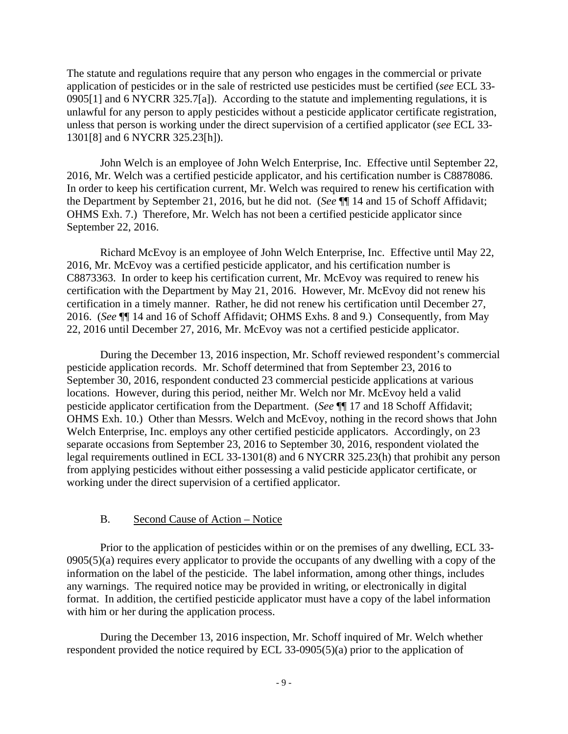The statute and regulations require that any person who engages in the commercial or private application of pesticides or in the sale of restricted use pesticides must be certified (*see* ECL 33- 0905[1] and 6 NYCRR 325.7[a]). According to the statute and implementing regulations, it is unlawful for any person to apply pesticides without a pesticide applicator certificate registration, unless that person is working under the direct supervision of a certified applicator (*see* ECL 33- 1301[8] and 6 NYCRR 325.23[h]).

 John Welch is an employee of John Welch Enterprise, Inc. Effective until September 22, 2016, Mr. Welch was a certified pesticide applicator, and his certification number is C8878086. In order to keep his certification current, Mr. Welch was required to renew his certification with the Department by September 21, 2016, but he did not. (*See* ¶¶ 14 and 15 of Schoff Affidavit; OHMS Exh. 7.) Therefore, Mr. Welch has not been a certified pesticide applicator since September 22, 2016.

 Richard McEvoy is an employee of John Welch Enterprise, Inc. Effective until May 22, 2016, Mr. McEvoy was a certified pesticide applicator, and his certification number is C8873363. In order to keep his certification current, Mr. McEvoy was required to renew his certification with the Department by May 21, 2016. However, Mr. McEvoy did not renew his certification in a timely manner. Rather, he did not renew his certification until December 27, 2016. (*See* ¶¶ 14 and 16 of Schoff Affidavit; OHMS Exhs. 8 and 9.) Consequently, from May 22, 2016 until December 27, 2016, Mr. McEvoy was not a certified pesticide applicator.

 During the December 13, 2016 inspection, Mr. Schoff reviewed respondent's commercial pesticide application records. Mr. Schoff determined that from September 23, 2016 to September 30, 2016, respondent conducted 23 commercial pesticide applications at various locations. However, during this period, neither Mr. Welch nor Mr. McEvoy held a valid pesticide applicator certification from the Department. (*See* ¶¶ 17 and 18 Schoff Affidavit; OHMS Exh. 10.) Other than Messrs. Welch and McEvoy, nothing in the record shows that John Welch Enterprise, Inc. employs any other certified pesticide applicators. Accordingly, on 23 separate occasions from September 23, 2016 to September 30, 2016, respondent violated the legal requirements outlined in ECL 33-1301(8) and 6 NYCRR 325.23(h) that prohibit any person from applying pesticides without either possessing a valid pesticide applicator certificate, or working under the direct supervision of a certified applicator.

## B. Second Cause of Action – Notice

 Prior to the application of pesticides within or on the premises of any dwelling, ECL 33- 0905(5)(a) requires every applicator to provide the occupants of any dwelling with a copy of the information on the label of the pesticide. The label information, among other things, includes any warnings. The required notice may be provided in writing, or electronically in digital format. In addition, the certified pesticide applicator must have a copy of the label information with him or her during the application process.

 During the December 13, 2016 inspection, Mr. Schoff inquired of Mr. Welch whether respondent provided the notice required by ECL 33-0905(5)(a) prior to the application of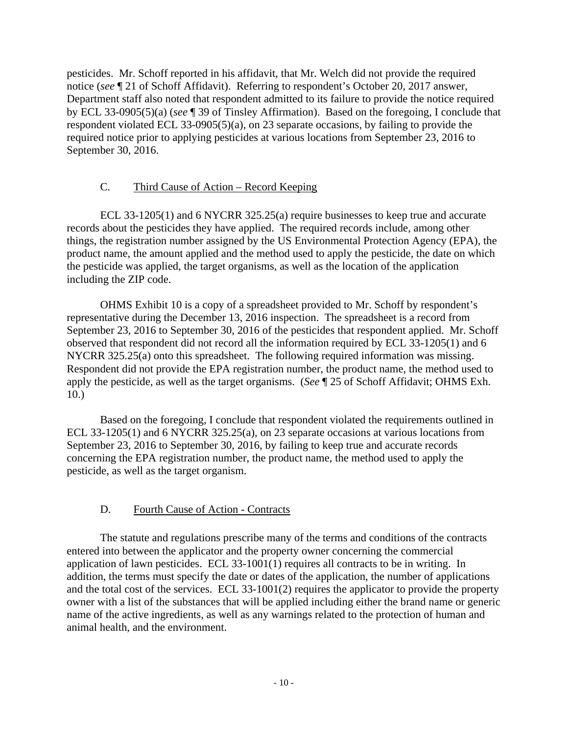pesticides. Mr. Schoff reported in his affidavit, that Mr. Welch did not provide the required notice (*see* ¶ 21 of Schoff Affidavit). Referring to respondent's October 20, 2017 answer, Department staff also noted that respondent admitted to its failure to provide the notice required by ECL 33-0905(5)(a) (*see* ¶ 39 of Tinsley Affirmation). Based on the foregoing, I conclude that respondent violated ECL 33-0905(5)(a), on 23 separate occasions, by failing to provide the required notice prior to applying pesticides at various locations from September 23, 2016 to September 30, 2016.

# C. Third Cause of Action – Record Keeping

 ECL 33-1205(1) and 6 NYCRR 325.25(a) require businesses to keep true and accurate records about the pesticides they have applied. The required records include, among other things, the registration number assigned by the US Environmental Protection Agency (EPA), the product name, the amount applied and the method used to apply the pesticide, the date on which the pesticide was applied, the target organisms, as well as the location of the application including the ZIP code.

 OHMS Exhibit 10 is a copy of a spreadsheet provided to Mr. Schoff by respondent's representative during the December 13, 2016 inspection. The spreadsheet is a record from September 23, 2016 to September 30, 2016 of the pesticides that respondent applied. Mr. Schoff observed that respondent did not record all the information required by ECL 33-1205(1) and 6 NYCRR 325.25(a) onto this spreadsheet. The following required information was missing. Respondent did not provide the EPA registration number, the product name, the method used to apply the pesticide, as well as the target organisms. (*See* ¶ 25 of Schoff Affidavit; OHMS Exh. 10.)

 Based on the foregoing, I conclude that respondent violated the requirements outlined in ECL 33-1205(1) and 6 NYCRR 325.25(a), on 23 separate occasions at various locations from September 23, 2016 to September 30, 2016, by failing to keep true and accurate records concerning the EPA registration number, the product name, the method used to apply the pesticide, as well as the target organism.

# D. Fourth Cause of Action - Contracts

 The statute and regulations prescribe many of the terms and conditions of the contracts entered into between the applicator and the property owner concerning the commercial application of lawn pesticides. ECL 33-1001(1) requires all contracts to be in writing. In addition, the terms must specify the date or dates of the application, the number of applications and the total cost of the services. ECL 33-1001(2) requires the applicator to provide the property owner with a list of the substances that will be applied including either the brand name or generic name of the active ingredients, as well as any warnings related to the protection of human and animal health, and the environment.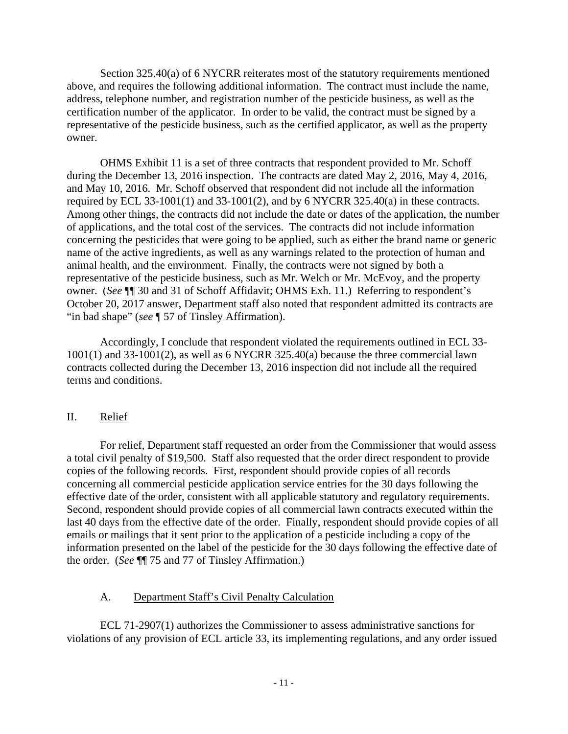Section 325.40(a) of 6 NYCRR reiterates most of the statutory requirements mentioned above, and requires the following additional information. The contract must include the name, address, telephone number, and registration number of the pesticide business, as well as the certification number of the applicator. In order to be valid, the contract must be signed by a representative of the pesticide business, such as the certified applicator, as well as the property owner.

 OHMS Exhibit 11 is a set of three contracts that respondent provided to Mr. Schoff during the December 13, 2016 inspection. The contracts are dated May 2, 2016, May 4, 2016, and May 10, 2016. Mr. Schoff observed that respondent did not include all the information required by ECL 33-1001(1) and 33-1001(2), and by 6 NYCRR 325.40(a) in these contracts. Among other things, the contracts did not include the date or dates of the application, the number of applications, and the total cost of the services. The contracts did not include information concerning the pesticides that were going to be applied, such as either the brand name or generic name of the active ingredients, as well as any warnings related to the protection of human and animal health, and the environment. Finally, the contracts were not signed by both a representative of the pesticide business, such as Mr. Welch or Mr. McEvoy, and the property owner. (*See* ¶¶ 30 and 31 of Schoff Affidavit; OHMS Exh. 11.) Referring to respondent's October 20, 2017 answer, Department staff also noted that respondent admitted its contracts are "in bad shape" (*see* ¶ 57 of Tinsley Affirmation).

 Accordingly, I conclude that respondent violated the requirements outlined in ECL 33- 1001(1) and 33-1001(2), as well as 6 NYCRR 325.40(a) because the three commercial lawn contracts collected during the December 13, 2016 inspection did not include all the required terms and conditions.

## II. Relief

 For relief, Department staff requested an order from the Commissioner that would assess a total civil penalty of \$19,500. Staff also requested that the order direct respondent to provide copies of the following records. First, respondent should provide copies of all records concerning all commercial pesticide application service entries for the 30 days following the effective date of the order, consistent with all applicable statutory and regulatory requirements. Second, respondent should provide copies of all commercial lawn contracts executed within the last 40 days from the effective date of the order. Finally, respondent should provide copies of all emails or mailings that it sent prior to the application of a pesticide including a copy of the information presented on the label of the pesticide for the 30 days following the effective date of the order. (*See* ¶¶ 75 and 77 of Tinsley Affirmation.)

## A. Department Staff's Civil Penalty Calculation

 ECL 71-2907(1) authorizes the Commissioner to assess administrative sanctions for violations of any provision of ECL article 33, its implementing regulations, and any order issued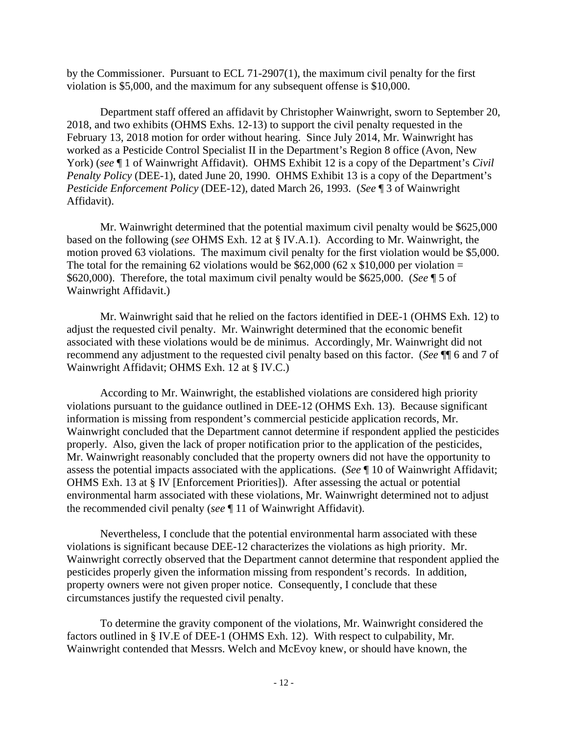by the Commissioner. Pursuant to ECL 71-2907(1), the maximum civil penalty for the first violation is \$5,000, and the maximum for any subsequent offense is \$10,000.

 Department staff offered an affidavit by Christopher Wainwright, sworn to September 20, 2018, and two exhibits (OHMS Exhs. 12-13) to support the civil penalty requested in the February 13, 2018 motion for order without hearing. Since July 2014, Mr. Wainwright has worked as a Pesticide Control Specialist II in the Department's Region 8 office (Avon, New York) (*see*  $\P$  1 of Wainwright Affidavit). OHMS Exhibit 12 is a copy of the Department's *Civil Penalty Policy* (DEE-1), dated June 20, 1990. OHMS Exhibit 13 is a copy of the Department's *Pesticide Enforcement Policy* (DEE-12), dated March 26, 1993. (*See* ¶ 3 of Wainwright Affidavit).

 Mr. Wainwright determined that the potential maximum civil penalty would be \$625,000 based on the following (*see* OHMS Exh. 12 at § IV.A.1). According to Mr. Wainwright, the motion proved 63 violations. The maximum civil penalty for the first violation would be \$5,000. The total for the remaining 62 violations would be \$62,000 (62 x \$10,000 per violation = \$620,000). Therefore, the total maximum civil penalty would be \$625,000. (*See* ¶ 5 of Wainwright Affidavit.)

 Mr. Wainwright said that he relied on the factors identified in DEE-1 (OHMS Exh. 12) to adjust the requested civil penalty. Mr. Wainwright determined that the economic benefit associated with these violations would be de minimus. Accordingly, Mr. Wainwright did not recommend any adjustment to the requested civil penalty based on this factor. (*See* ¶¶ 6 and 7 of Wainwright Affidavit; OHMS Exh. 12 at § IV.C.)

 According to Mr. Wainwright, the established violations are considered high priority violations pursuant to the guidance outlined in DEE-12 (OHMS Exh. 13). Because significant information is missing from respondent's commercial pesticide application records, Mr. Wainwright concluded that the Department cannot determine if respondent applied the pesticides properly. Also, given the lack of proper notification prior to the application of the pesticides, Mr. Wainwright reasonably concluded that the property owners did not have the opportunity to assess the potential impacts associated with the applications. (*See* ¶ 10 of Wainwright Affidavit; OHMS Exh. 13 at § IV [Enforcement Priorities]). After assessing the actual or potential environmental harm associated with these violations, Mr. Wainwright determined not to adjust the recommended civil penalty (*see* ¶ 11 of Wainwright Affidavit).

 Nevertheless, I conclude that the potential environmental harm associated with these violations is significant because DEE-12 characterizes the violations as high priority. Mr. Wainwright correctly observed that the Department cannot determine that respondent applied the pesticides properly given the information missing from respondent's records. In addition, property owners were not given proper notice. Consequently, I conclude that these circumstances justify the requested civil penalty.

 To determine the gravity component of the violations, Mr. Wainwright considered the factors outlined in § IV.E of DEE-1 (OHMS Exh. 12). With respect to culpability, Mr. Wainwright contended that Messrs. Welch and McEvoy knew, or should have known, the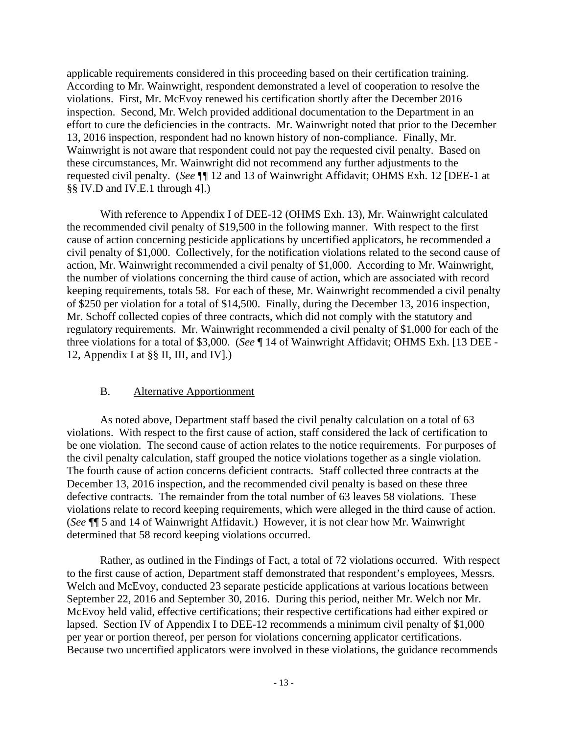applicable requirements considered in this proceeding based on their certification training. According to Mr. Wainwright, respondent demonstrated a level of cooperation to resolve the violations. First, Mr. McEvoy renewed his certification shortly after the December 2016 inspection. Second, Mr. Welch provided additional documentation to the Department in an effort to cure the deficiencies in the contracts. Mr. Wainwright noted that prior to the December 13, 2016 inspection, respondent had no known history of non-compliance. Finally, Mr. Wainwright is not aware that respondent could not pay the requested civil penalty. Based on these circumstances, Mr. Wainwright did not recommend any further adjustments to the requested civil penalty. (*See* ¶¶ 12 and 13 of Wainwright Affidavit; OHMS Exh. 12 [DEE-1 at §§ IV.D and IV.E.1 through 4].)

 With reference to Appendix I of DEE-12 (OHMS Exh. 13), Mr. Wainwright calculated the recommended civil penalty of \$19,500 in the following manner. With respect to the first cause of action concerning pesticide applications by uncertified applicators, he recommended a civil penalty of \$1,000. Collectively, for the notification violations related to the second cause of action, Mr. Wainwright recommended a civil penalty of \$1,000. According to Mr. Wainwright, the number of violations concerning the third cause of action, which are associated with record keeping requirements, totals 58. For each of these, Mr. Wainwright recommended a civil penalty of \$250 per violation for a total of \$14,500. Finally, during the December 13, 2016 inspection, Mr. Schoff collected copies of three contracts, which did not comply with the statutory and regulatory requirements. Mr. Wainwright recommended a civil penalty of \$1,000 for each of the three violations for a total of \$3,000. (*See* ¶ 14 of Wainwright Affidavit; OHMS Exh. [13 DEE - 12, Appendix I at §§ II, III, and IV].)

## B. Alternative Apportionment

 As noted above, Department staff based the civil penalty calculation on a total of 63 violations. With respect to the first cause of action, staff considered the lack of certification to be one violation. The second cause of action relates to the notice requirements. For purposes of the civil penalty calculation, staff grouped the notice violations together as a single violation. The fourth cause of action concerns deficient contracts. Staff collected three contracts at the December 13, 2016 inspection, and the recommended civil penalty is based on these three defective contracts. The remainder from the total number of 63 leaves 58 violations. These violations relate to record keeping requirements, which were alleged in the third cause of action. (*See* ¶¶ 5 and 14 of Wainwright Affidavit.) However, it is not clear how Mr. Wainwright determined that 58 record keeping violations occurred.

 Rather, as outlined in the Findings of Fact, a total of 72 violations occurred. With respect to the first cause of action, Department staff demonstrated that respondent's employees, Messrs. Welch and McEvoy, conducted 23 separate pesticide applications at various locations between September 22, 2016 and September 30, 2016. During this period, neither Mr. Welch nor Mr. McEvoy held valid, effective certifications; their respective certifications had either expired or lapsed. Section IV of Appendix I to DEE-12 recommends a minimum civil penalty of \$1,000 per year or portion thereof, per person for violations concerning applicator certifications. Because two uncertified applicators were involved in these violations, the guidance recommends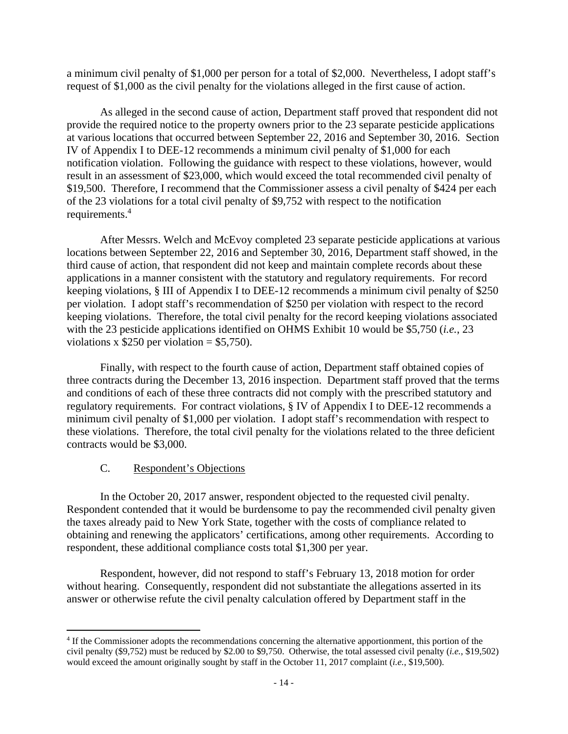a minimum civil penalty of \$1,000 per person for a total of \$2,000. Nevertheless, I adopt staff's request of \$1,000 as the civil penalty for the violations alleged in the first cause of action.

 As alleged in the second cause of action, Department staff proved that respondent did not provide the required notice to the property owners prior to the 23 separate pesticide applications at various locations that occurred between September 22, 2016 and September 30, 2016. Section IV of Appendix I to DEE-12 recommends a minimum civil penalty of \$1,000 for each notification violation. Following the guidance with respect to these violations, however, would result in an assessment of \$23,000, which would exceed the total recommended civil penalty of \$19,500. Therefore, I recommend that the Commissioner assess a civil penalty of \$424 per each of the 23 violations for a total civil penalty of \$9,752 with respect to the notification requirements.<sup>4</sup>

 After Messrs. Welch and McEvoy completed 23 separate pesticide applications at various locations between September 22, 2016 and September 30, 2016, Department staff showed, in the third cause of action, that respondent did not keep and maintain complete records about these applications in a manner consistent with the statutory and regulatory requirements. For record keeping violations, § III of Appendix I to DEE-12 recommends a minimum civil penalty of \$250 per violation. I adopt staff's recommendation of \$250 per violation with respect to the record keeping violations. Therefore, the total civil penalty for the record keeping violations associated with the 23 pesticide applications identified on OHMS Exhibit 10 would be \$5,750 (*i.e.*, 23 violations x  $$250$  per violation = \$5,750).

 Finally, with respect to the fourth cause of action, Department staff obtained copies of three contracts during the December 13, 2016 inspection. Department staff proved that the terms and conditions of each of these three contracts did not comply with the prescribed statutory and regulatory requirements. For contract violations, § IV of Appendix I to DEE-12 recommends a minimum civil penalty of \$1,000 per violation. I adopt staff's recommendation with respect to these violations. Therefore, the total civil penalty for the violations related to the three deficient contracts would be \$3,000.

# C. Respondent's Objections

 In the October 20, 2017 answer, respondent objected to the requested civil penalty. Respondent contended that it would be burdensome to pay the recommended civil penalty given the taxes already paid to New York State, together with the costs of compliance related to obtaining and renewing the applicators' certifications, among other requirements. According to respondent, these additional compliance costs total \$1,300 per year.

 Respondent, however, did not respond to staff's February 13, 2018 motion for order without hearing. Consequently, respondent did not substantiate the allegations asserted in its answer or otherwise refute the civil penalty calculation offered by Department staff in the

<sup>&</sup>lt;sup>4</sup> If the Commissioner adopts the recommendations concerning the alternative apportionment, this portion of the civil penalty (\$9,752) must be reduced by \$2.00 to \$9,750. Otherwise, the total assessed civil penalty (*i.e.*, \$19,502) would exceed the amount originally sought by staff in the October 11, 2017 complaint (*i.e.*, \$19,500).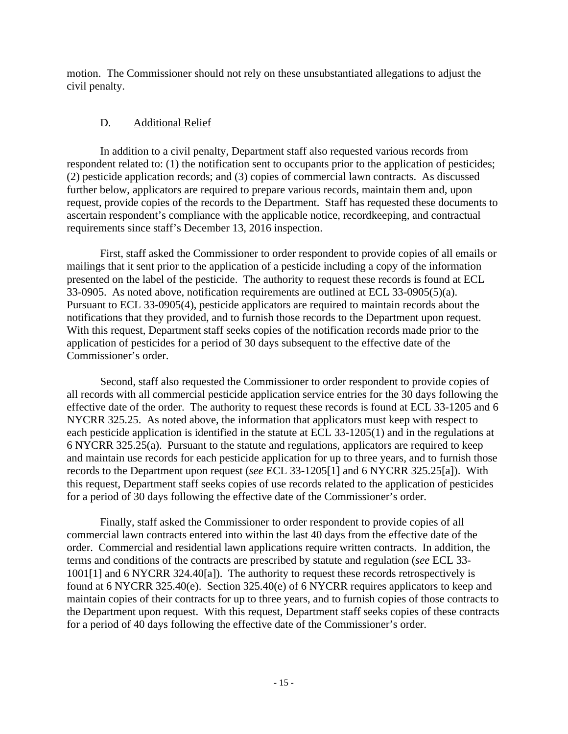motion. The Commissioner should not rely on these unsubstantiated allegations to adjust the civil penalty.

# D. Additional Relief

 In addition to a civil penalty, Department staff also requested various records from respondent related to: (1) the notification sent to occupants prior to the application of pesticides; (2) pesticide application records; and (3) copies of commercial lawn contracts. As discussed further below, applicators are required to prepare various records, maintain them and, upon request, provide copies of the records to the Department. Staff has requested these documents to ascertain respondent's compliance with the applicable notice, recordkeeping, and contractual requirements since staff's December 13, 2016 inspection.

 First, staff asked the Commissioner to order respondent to provide copies of all emails or mailings that it sent prior to the application of a pesticide including a copy of the information presented on the label of the pesticide. The authority to request these records is found at ECL 33-0905. As noted above, notification requirements are outlined at ECL 33-0905(5)(a). Pursuant to ECL 33-0905(4), pesticide applicators are required to maintain records about the notifications that they provided, and to furnish those records to the Department upon request. With this request, Department staff seeks copies of the notification records made prior to the application of pesticides for a period of 30 days subsequent to the effective date of the Commissioner's order.

 Second, staff also requested the Commissioner to order respondent to provide copies of all records with all commercial pesticide application service entries for the 30 days following the effective date of the order. The authority to request these records is found at ECL 33-1205 and 6 NYCRR 325.25. As noted above, the information that applicators must keep with respect to each pesticide application is identified in the statute at ECL 33-1205(1) and in the regulations at 6 NYCRR 325.25(a). Pursuant to the statute and regulations, applicators are required to keep and maintain use records for each pesticide application for up to three years, and to furnish those records to the Department upon request (*see* ECL 33-1205[1] and 6 NYCRR 325.25[a]). With this request, Department staff seeks copies of use records related to the application of pesticides for a period of 30 days following the effective date of the Commissioner's order.

 Finally, staff asked the Commissioner to order respondent to provide copies of all commercial lawn contracts entered into within the last 40 days from the effective date of the order. Commercial and residential lawn applications require written contracts. In addition, the terms and conditions of the contracts are prescribed by statute and regulation (*see* ECL 33- 1001[1] and 6 NYCRR 324.40[a]). The authority to request these records retrospectively is found at 6 NYCRR 325.40(e). Section 325.40(e) of 6 NYCRR requires applicators to keep and maintain copies of their contracts for up to three years, and to furnish copies of those contracts to the Department upon request. With this request, Department staff seeks copies of these contracts for a period of 40 days following the effective date of the Commissioner's order.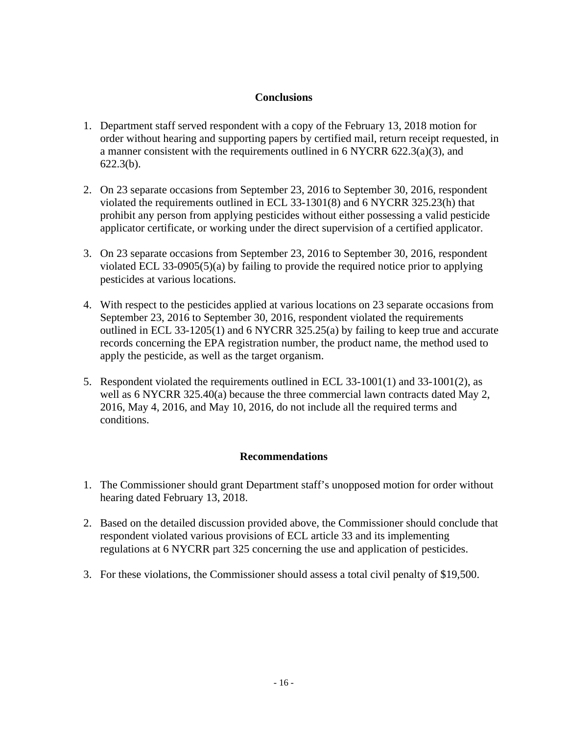# **Conclusions**

- 1. Department staff served respondent with a copy of the February 13, 2018 motion for order without hearing and supporting papers by certified mail, return receipt requested, in a manner consistent with the requirements outlined in 6 NYCRR 622.3(a)(3), and 622.3(b).
- 2. On 23 separate occasions from September 23, 2016 to September 30, 2016, respondent violated the requirements outlined in ECL 33-1301(8) and 6 NYCRR 325.23(h) that prohibit any person from applying pesticides without either possessing a valid pesticide applicator certificate, or working under the direct supervision of a certified applicator.
- 3. On 23 separate occasions from September 23, 2016 to September 30, 2016, respondent violated ECL 33-0905(5)(a) by failing to provide the required notice prior to applying pesticides at various locations.
- 4. With respect to the pesticides applied at various locations on 23 separate occasions from September 23, 2016 to September 30, 2016, respondent violated the requirements outlined in ECL 33-1205(1) and 6 NYCRR 325.25(a) by failing to keep true and accurate records concerning the EPA registration number, the product name, the method used to apply the pesticide, as well as the target organism.
- 5. Respondent violated the requirements outlined in ECL 33-1001(1) and 33-1001(2), as well as 6 NYCRR 325.40(a) because the three commercial lawn contracts dated May 2, 2016, May 4, 2016, and May 10, 2016, do not include all the required terms and conditions.

# **Recommendations**

- 1. The Commissioner should grant Department staff's unopposed motion for order without hearing dated February 13, 2018.
- 2. Based on the detailed discussion provided above, the Commissioner should conclude that respondent violated various provisions of ECL article 33 and its implementing regulations at 6 NYCRR part 325 concerning the use and application of pesticides.
- 3. For these violations, the Commissioner should assess a total civil penalty of \$19,500.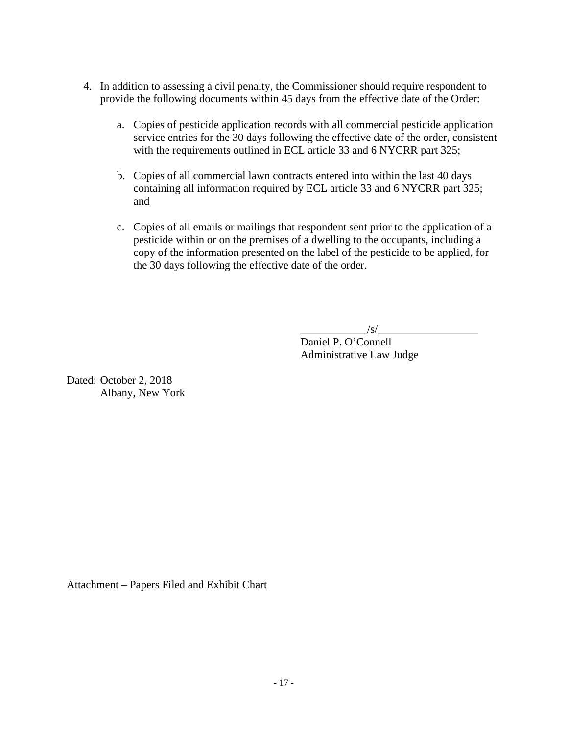- 4. In addition to assessing a civil penalty, the Commissioner should require respondent to provide the following documents within 45 days from the effective date of the Order:
	- a. Copies of pesticide application records with all commercial pesticide application service entries for the 30 days following the effective date of the order, consistent with the requirements outlined in ECL article 33 and 6 NYCRR part 325;
	- b. Copies of all commercial lawn contracts entered into within the last 40 days containing all information required by ECL article 33 and 6 NYCRR part 325; and
	- c. Copies of all emails or mailings that respondent sent prior to the application of a pesticide within or on the premises of a dwelling to the occupants, including a copy of the information presented on the label of the pesticide to be applied, for the 30 days following the effective date of the order.

 $/\mathrm{s}/$ 

 Daniel P. O'Connell Administrative Law Judge

Dated: October 2, 2018 Albany, New York

Attachment – Papers Filed and Exhibit Chart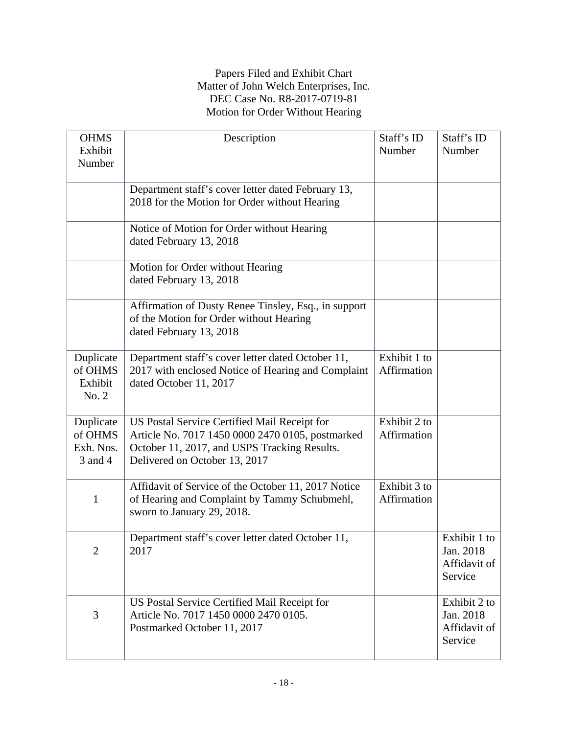# Papers Filed and Exhibit Chart Matter of John Welch Enterprises, Inc. DEC Case No. R8-2017-0719-81 Motion for Order Without Hearing

| <b>OHMS</b>                                  | Description                                                                                                                                                                       | Staff's ID                  | Staff's ID                                           |
|----------------------------------------------|-----------------------------------------------------------------------------------------------------------------------------------------------------------------------------------|-----------------------------|------------------------------------------------------|
| Exhibit                                      |                                                                                                                                                                                   | Number                      | Number                                               |
| Number                                       |                                                                                                                                                                                   |                             |                                                      |
|                                              | Department staff's cover letter dated February 13,                                                                                                                                |                             |                                                      |
|                                              | 2018 for the Motion for Order without Hearing                                                                                                                                     |                             |                                                      |
|                                              | Notice of Motion for Order without Hearing<br>dated February 13, 2018                                                                                                             |                             |                                                      |
|                                              | Motion for Order without Hearing<br>dated February 13, 2018                                                                                                                       |                             |                                                      |
|                                              | Affirmation of Dusty Renee Tinsley, Esq., in support<br>of the Motion for Order without Hearing<br>dated February 13, 2018                                                        |                             |                                                      |
| Duplicate<br>of OHMS<br>Exhibit<br>No. 2     | Department staff's cover letter dated October 11,<br>2017 with enclosed Notice of Hearing and Complaint<br>dated October 11, 2017                                                 | Exhibit 1 to<br>Affirmation |                                                      |
| Duplicate<br>of OHMS<br>Exh. Nos.<br>3 and 4 | US Postal Service Certified Mail Receipt for<br>Article No. 7017 1450 0000 2470 0105, postmarked<br>October 11, 2017, and USPS Tracking Results.<br>Delivered on October 13, 2017 | Exhibit 2 to<br>Affirmation |                                                      |
| $\mathbf{1}$                                 | Affidavit of Service of the October 11, 2017 Notice<br>of Hearing and Complaint by Tammy Schubmehl,<br>sworn to January 29, 2018.                                                 | Exhibit 3 to<br>Affirmation |                                                      |
| $\overline{2}$                               | Department staff's cover letter dated October 11,<br>2017                                                                                                                         |                             | Exhibit 1 to<br>Jan. 2018<br>Affidavit of<br>Service |
| 3                                            | US Postal Service Certified Mail Receipt for<br>Article No. 7017 1450 0000 2470 0105.<br>Postmarked October 11, 2017                                                              |                             | Exhibit 2 to<br>Jan. 2018<br>Affidavit of<br>Service |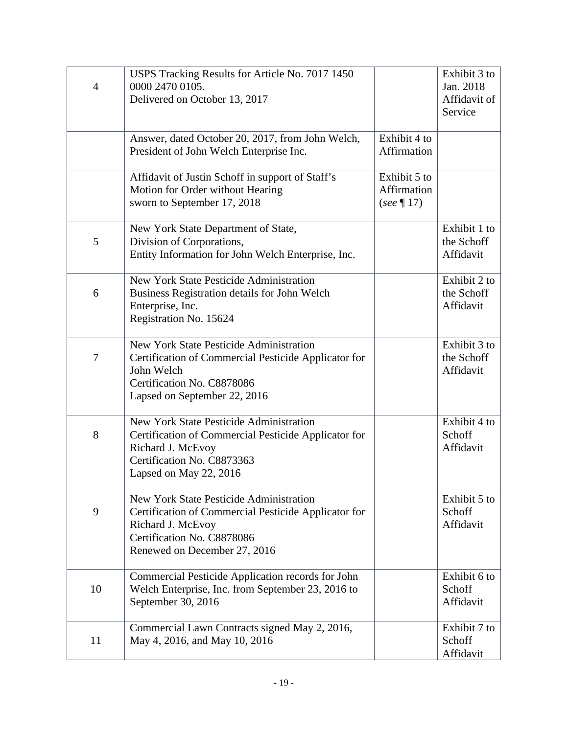| $\overline{4}$ | USPS Tracking Results for Article No. 7017 1450<br>0000 2470 0105.<br>Delivered on October 13, 2017                                                                                |                                              | Exhibit 3 to<br>Jan. 2018<br>Affidavit of<br>Service |
|----------------|------------------------------------------------------------------------------------------------------------------------------------------------------------------------------------|----------------------------------------------|------------------------------------------------------|
|                | Answer, dated October 20, 2017, from John Welch,<br>President of John Welch Enterprise Inc.                                                                                        | Exhibit 4 to<br>Affirmation                  |                                                      |
|                | Affidavit of Justin Schoff in support of Staff's<br>Motion for Order without Hearing<br>sworn to September 17, 2018                                                                | Exhibit 5 to<br>Affirmation<br>$(see \P 17)$ |                                                      |
| 5              | New York State Department of State,<br>Division of Corporations,<br>Entity Information for John Welch Enterprise, Inc.                                                             |                                              | Exhibit 1 to<br>the Schoff<br>Affidavit              |
| 6              | New York State Pesticide Administration<br>Business Registration details for John Welch<br>Enterprise, Inc.<br>Registration No. 15624                                              |                                              | Exhibit 2 to<br>the Schoff<br>Affidavit              |
| 7              | New York State Pesticide Administration<br>Certification of Commercial Pesticide Applicator for<br>John Welch<br>Certification No. C8878086<br>Lapsed on September 22, 2016        |                                              | Exhibit 3 to<br>the Schoff<br>Affidavit              |
| 8              | New York State Pesticide Administration<br>Certification of Commercial Pesticide Applicator for<br>Richard J. McEvoy<br>Certification No. C8873363<br>Lapsed on May 22, 2016       |                                              | Exhibit 4 to<br>Schoff<br>Affidavit                  |
| 9              | New York State Pesticide Administration<br>Certification of Commercial Pesticide Applicator for<br>Richard J. McEvoy<br>Certification No. C8878086<br>Renewed on December 27, 2016 |                                              | Exhibit 5 to<br>Schoff<br>Affidavit                  |
| 10             | Commercial Pesticide Application records for John<br>Welch Enterprise, Inc. from September 23, 2016 to<br>September 30, 2016                                                       |                                              | Exhibit 6 to<br>Schoff<br>Affidavit                  |
| 11             | Commercial Lawn Contracts signed May 2, 2016,<br>May 4, 2016, and May 10, 2016                                                                                                     |                                              | Exhibit 7 to<br>Schoff<br>Affidavit                  |